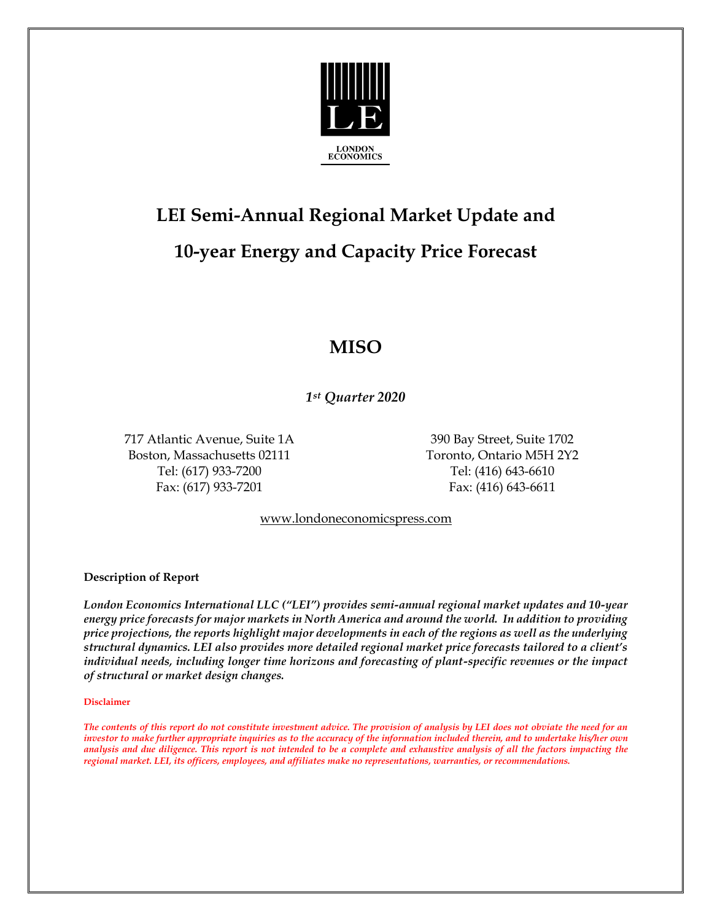

# **LEI Semi-Annual Regional Market Update and 10-year Energy and Capacity Price Forecast**

### **MISO**

*1st Quarter 2020*

717 Atlantic Avenue, Suite 1A 390 Bay Street, Suite 1702 Boston, Massachusetts 02111 Toronto, Ontario M5H 2Y2 Tel: (617) 933-7200 Tel: (416) 643-6610 Fax: (617) 933-7201 Fax: (416) 643-6611

[www.londoneconomicspress.com](http://www.londoneconomicspress.com/)

**Description of Report**

*London Economics International LLC ("LEI") provides semi-annual regional market updates and 10-year energy price forecasts for major markets in North America and around the world. In addition to providing price projections, the reports highlight major developments in each of the regions as well as the underlying structural dynamics. LEI also provides more detailed regional market price forecasts tailored to a client's individual needs, including longer time horizons and forecasting of plant-specific revenues or the impact of structural or market design changes.*

#### **Disclaimer**

*The contents of this report do not constitute investment advice. The provision of analysis by LEI does not obviate the need for an investor to make further appropriate inquiries as to the accuracy of the information included therein, and to undertake his/her own analysis and due diligence. This report is not intended to be a complete and exhaustive analysis of all the factors impacting the regional market. LEI, its officers, employees, and affiliates make no representations, warranties, or recommendations.*